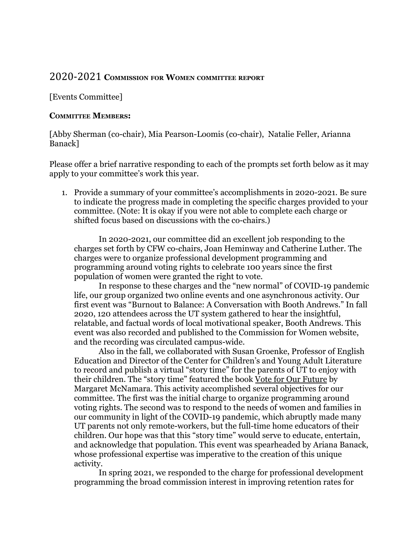## 2020-2021 **COMMISSION FOR WOMEN COMMITTEE REPORT**

## [Events Committee]

## **COMMITTEE MEMBERS:**

[Abby Sherman (co-chair), Mia Pearson-Loomis (co-chair), Natalie Feller, Arianna Banack]

Please offer a brief narrative responding to each of the prompts set forth below as it may apply to your committee's work this year.

1. Provide a summary of your committee's accomplishments in 2020-2021. Be sure to indicate the progress made in completing the specific charges provided to your committee. (Note: It is okay if you were not able to complete each charge or shifted focus based on discussions with the co-chairs.)

In 2020-2021, our committee did an excellent job responding to the charges set forth by CFW co-chairs, Joan Heminway and Catherine Luther. The charges were to organize professional development programming and programming around voting rights to celebrate 100 years since the first population of women were granted the right to vote.

In response to these charges and the "new normal" of COVID-19 pandemic life, our group organized two online events and one asynchronous activity. Our first event was "Burnout to Balance: A Conversation with Booth Andrews." In fall 2020, 120 attendees across the UT system gathered to hear the insightful, relatable, and factual words of local motivational speaker, Booth Andrews. This event was also recorded and published to the Commission for Women website, and the recording was circulated campus-wide.

Also in the fall, we collaborated with Susan Groenke, Professor of English Education and Director of the Center for Children's and Young Adult Literature to record and publish a virtual "story time" for the parents of UT to enjoy with their children. The "story time" featured the book Vote for Our Future by Margaret McNamara. This activity accomplished several objectives for our committee. The first was the initial charge to organize programming around voting rights. The second was to respond to the needs of women and families in our community in light of the COVID-19 pandemic, which abruptly made many UT parents not only remote-workers, but the full-time home educators of their children. Our hope was that this "story time" would serve to educate, entertain, and acknowledge that population. This event was spearheaded by Ariana Banack, whose professional expertise was imperative to the creation of this unique activity.

In spring 2021, we responded to the charge for professional development programming the broad commission interest in improving retention rates for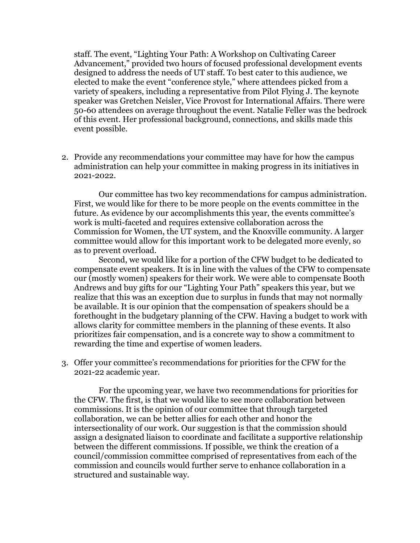staff. The event, "Lighting Your Path: A Workshop on Cultivating Career Advancement," provided two hours of focused professional development events designed to address the needs of UT staff. To best cater to this audience, we elected to make the event "conference style," where attendees picked from a variety of speakers, including a representative from Pilot Flying J. The keynote speaker was Gretchen Neisler, Vice Provost for International Affairs. There were 50-60 attendees on average throughout the event. Natalie Feller was the bedrock of this event. Her professional background, connections, and skills made this event possible.

2. Provide any recommendations your committee may have for how the campus administration can help your committee in making progress in its initiatives in 2021-2022.

Our committee has two key recommendations for campus administration. First, we would like for there to be more people on the events committee in the future. As evidence by our accomplishments this year, the events committee's work is multi-faceted and requires extensive collaboration across the Commission for Women, the UT system, and the Knoxville community. A larger committee would allow for this important work to be delegated more evenly, so as to prevent overload.

Second, we would like for a portion of the CFW budget to be dedicated to compensate event speakers. It is in line with the values of the CFW to compensate our (mostly women) speakers for their work. We were able to compensate Booth Andrews and buy gifts for our "Lighting Your Path" speakers this year, but we realize that this was an exception due to surplus in funds that may not normally be available. It is our opinion that the compensation of speakers should be a forethought in the budgetary planning of the CFW. Having a budget to work with allows clarity for committee members in the planning of these events. It also prioritizes fair compensation, and is a concrete way to show a commitment to rewarding the time and expertise of women leaders.

3. Offer your committee's recommendations for priorities for the CFW for the 2021-22 academic year.

For the upcoming year, we have two recommendations for priorities for the CFW. The first, is that we would like to see more collaboration between commissions. It is the opinion of our committee that through targeted collaboration, we can be better allies for each other and honor the intersectionality of our work. Our suggestion is that the commission should assign a designated liaison to coordinate and facilitate a supportive relationship between the different commissions. If possible, we think the creation of a council/commission committee comprised of representatives from each of the commission and councils would further serve to enhance collaboration in a structured and sustainable way.